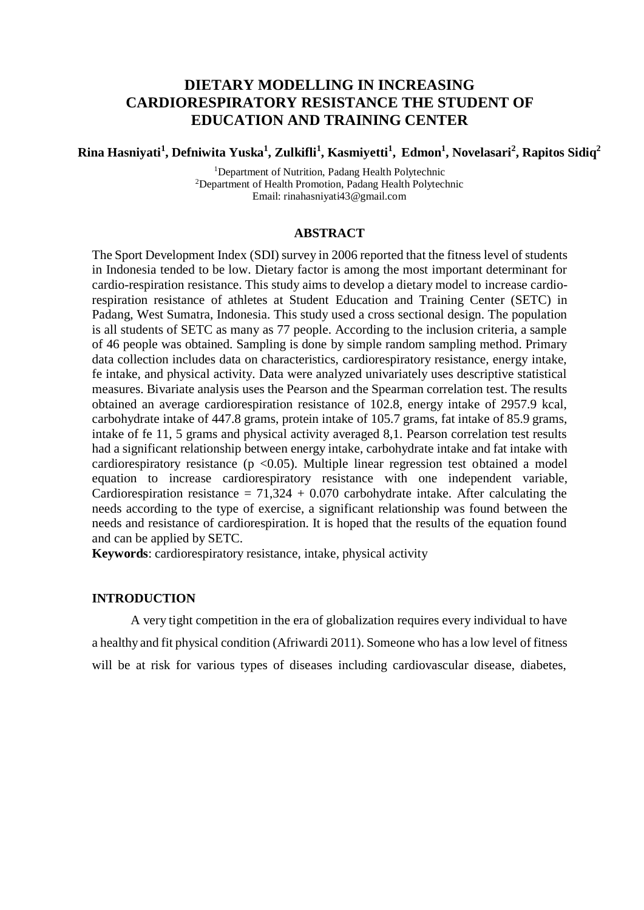# **DIETARY MODELLING IN INCREASING CARDIORESPIRATORY RESISTANCE THE STUDENT OF EDUCATION AND TRAINING CENTER**

## Rina Hasniyati<sup>1</sup>, Defniwita Yuska<sup>1</sup>, Zulkifli<sup>1</sup>, Kasmiyetti<sup>1</sup>, Edmon<sup>1</sup>, Novelasari<sup>2</sup>, Rapitos Sidiq<sup>2</sup>

<sup>1</sup>Department of Nutrition, Padang Health Polytechnic <sup>2</sup>Department of Health Promotion, Padang Health Polytechnic Email: [rinahasniyati43@gmail.com](mailto:rinahasniyati43@gmail.com)

### **ABSTRACT**

The Sport Development Index (SDI) survey in 2006 reported that the fitness level of students in Indonesia tended to be low. Dietary factor is among the most important determinant for cardio-respiration resistance. This study aims to develop a dietary model to increase cardiorespiration resistance of athletes at Student Education and Training Center (SETC) in Padang, West Sumatra, Indonesia. This study used a cross sectional design. The population is all students of SETC as many as 77 people. According to the inclusion criteria, a sample of 46 people was obtained. Sampling is done by simple random sampling method. Primary data collection includes data on characteristics, cardiorespiratory resistance, energy intake, fe intake, and physical activity. Data were analyzed univariately uses descriptive statistical measures. Bivariate analysis uses the Pearson and the Spearman correlation test. The results obtained an average cardiorespiration resistance of 102.8, energy intake of 2957.9 kcal, carbohydrate intake of 447.8 grams, protein intake of 105.7 grams, fat intake of 85.9 grams, intake of fe 11, 5 grams and physical activity averaged 8,1. Pearson correlation test results had a significant relationship between energy intake, carbohydrate intake and fat intake with cardiorespiratory resistance ( $p \le 0.05$ ). Multiple linear regression test obtained a model equation to increase cardiorespiratory resistance with one independent variable, Cardiorespiration resistance =  $71,324 + 0.070$  carbohydrate intake. After calculating the needs according to the type of exercise, a significant relationship was found between the needs and resistance of cardiorespiration. It is hoped that the results of the equation found and can be applied by SETC.

**Keywords**: cardiorespiratory resistance, intake, physical activity

### **INTRODUCTION**

A very tight competition in the era of globalization requires every individual to have a healthy and fit physical condition (Afriwardi 2011). Someone who has a low level of fitness will be at risk for various types of diseases including cardiovascular disease, diabetes,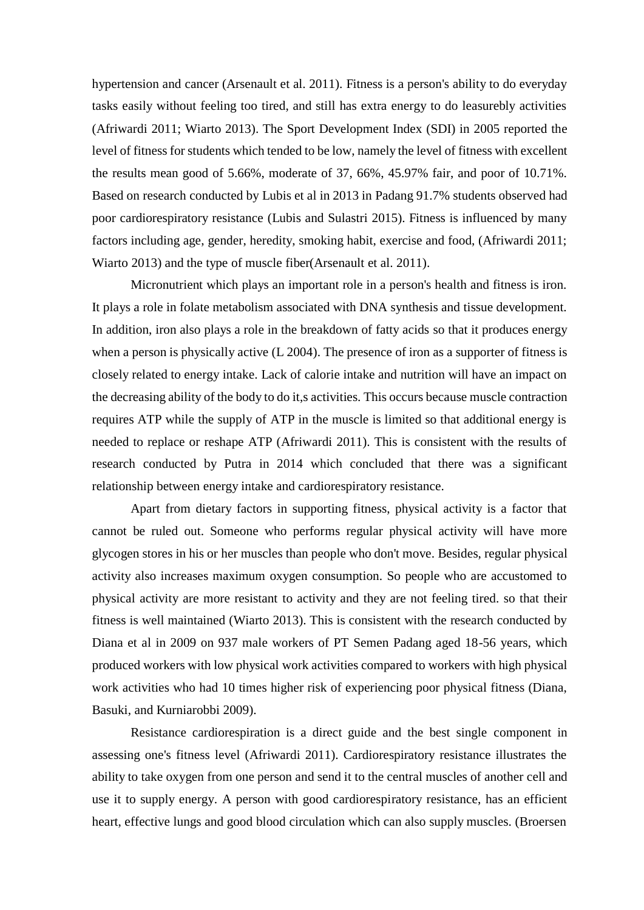hypertension and cancer (Arsenault et al. 2011). Fitness is a person's ability to do everyday tasks easily without feeling too tired, and still has extra energy to do leasurebly activities (Afriwardi 2011; Wiarto 2013). The Sport Development Index (SDI) in 2005 reported the level of fitness for students which tended to be low, namely the level of fitness with excellent the results mean good of 5.66%, moderate of 37, 66%, 45.97% fair, and poor of 10.71%. Based on research conducted by Lubis et al in 2013 in Padang 91.7% students observed had poor cardiorespiratory resistance (Lubis and Sulastri 2015). Fitness is influenced by many factors including age, gender, heredity, smoking habit, exercise and food, (Afriwardi 2011; Wiarto 2013) and the type of muscle fiber(Arsenault et al. 2011).

Micronutrient which plays an important role in a person's health and fitness is iron. It plays a role in folate metabolism associated with DNA synthesis and tissue development. In addition, iron also plays a role in the breakdown of fatty acids so that it produces energy when a person is physically active (L 2004). The presence of iron as a supporter of fitness is closely related to energy intake. Lack of calorie intake and nutrition will have an impact on the decreasing ability of the body to do it,s activities. This occurs because muscle contraction requires ATP while the supply of ATP in the muscle is limited so that additional energy is needed to replace or reshape ATP (Afriwardi 2011). This is consistent with the results of research conducted by Putra in 2014 which concluded that there was a significant relationship between energy intake and cardiorespiratory resistance.

Apart from dietary factors in supporting fitness, physical activity is a factor that cannot be ruled out. Someone who performs regular physical activity will have more glycogen stores in his or her muscles than people who don't move. Besides, regular physical activity also increases maximum oxygen consumption. So people who are accustomed to physical activity are more resistant to activity and they are not feeling tired. so that their fitness is well maintained (Wiarto 2013). This is consistent with the research conducted by Diana et al in 2009 on 937 male workers of PT Semen Padang aged 18-56 years, which produced workers with low physical work activities compared to workers with high physical work activities who had 10 times higher risk of experiencing poor physical fitness (Diana, Basuki, and Kurniarobbi 2009).

Resistance cardiorespiration is a direct guide and the best single component in assessing one's fitness level (Afriwardi 2011). Cardiorespiratory resistance illustrates the ability to take oxygen from one person and send it to the central muscles of another cell and use it to supply energy. A person with good cardiorespiratory resistance, has an efficient heart, effective lungs and good blood circulation which can also supply muscles. (Broersen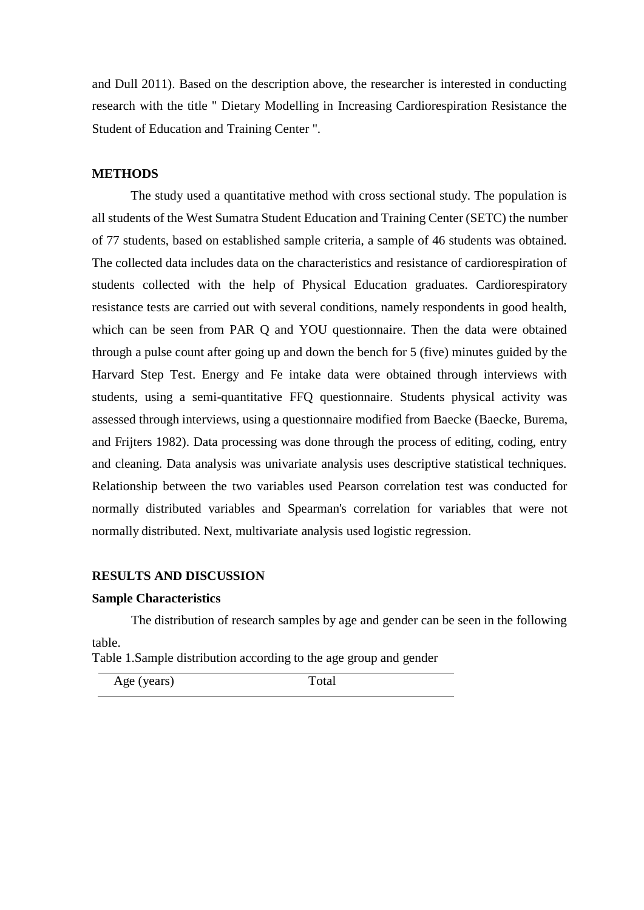and Dull 2011). Based on the description above, the researcher is interested in conducting research with the title " Dietary Modelling in Increasing Cardiorespiration Resistance the Student of Education and Training Center ".

### **METHODS**

The study used a quantitative method with cross sectional study. The population is all students of the West Sumatra Student Education and Training Center (SETC) the number of 77 students, based on established sample criteria, a sample of 46 students was obtained. The collected data includes data on the characteristics and resistance of cardiorespiration of students collected with the help of Physical Education graduates. Cardiorespiratory resistance tests are carried out with several conditions, namely respondents in good health, which can be seen from PAR Q and YOU questionnaire. Then the data were obtained through a pulse count after going up and down the bench for 5 (five) minutes guided by the Harvard Step Test. Energy and Fe intake data were obtained through interviews with students, using a semi-quantitative FFQ questionnaire. Students physical activity was assessed through interviews, using a questionnaire modified from Baecke (Baecke, Burema, and Frijters 1982). Data processing was done through the process of editing, coding, entry and cleaning. Data analysis was univariate analysis uses descriptive statistical techniques. Relationship between the two variables used Pearson correlation test was conducted for normally distributed variables and Spearman's correlation for variables that were not normally distributed. Next, multivariate analysis used logistic regression.

#### **RESULTS AND DISCUSSION**

#### **Sample Characteristics**

The distribution of research samples by age and gender can be seen in the following table.

Table 1.Sample distribution according to the age group and gender

Age (years) Total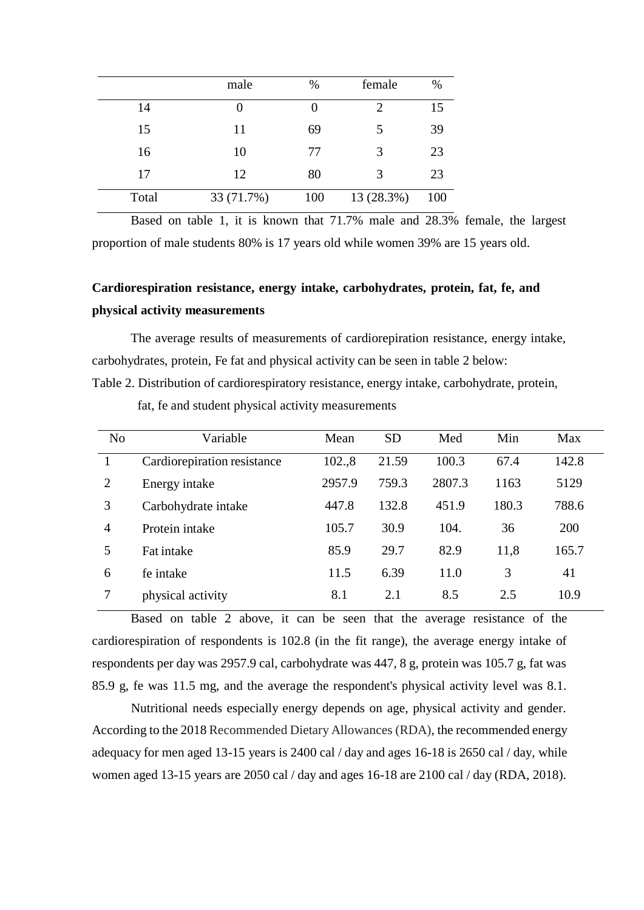|       | male       | $\%$ | female     | %   |
|-------|------------|------|------------|-----|
| 14    | O          |      | 2          | 15  |
| 15    | 11         | 69   | 5          | 39  |
| 16    | 10         | 77   | 3          | 23  |
| 17    | 12         | 80   | 3          | 23  |
| Total | 33 (71.7%) | 100  | 13 (28.3%) | 100 |

Based on table 1, it is known that 71.7% male and 28.3% female, the largest proportion of male students 80% is 17 years old while women 39% are 15 years old.

# **Cardiorespiration resistance, energy intake, carbohydrates, protein, fat, fe, and physical activity measurements**

The average results of measurements of cardiorepiration resistance, energy intake, carbohydrates, protein, Fe fat and physical activity can be seen in table 2 below: Table 2. Distribution of cardiorespiratory resistance, energy intake, carbohydrate, protein,

fat, fe and student physical activity measurements

| N <sub>o</sub> | Variable                    | Mean   | <b>SD</b> | Med    | Min   | Max   |
|----------------|-----------------------------|--------|-----------|--------|-------|-------|
|                | Cardiorepiration resistance | 102.,8 | 21.59     | 100.3  | 67.4  | 142.8 |
| 2              | Energy intake               | 2957.9 | 759.3     | 2807.3 | 1163  | 5129  |
| 3              | Carbohydrate intake         | 447.8  | 132.8     | 451.9  | 180.3 | 788.6 |
| $\overline{4}$ | Protein intake              | 105.7  | 30.9      | 104.   | 36    | 200   |
| 5              | Fat intake                  | 85.9   | 29.7      | 82.9   | 11,8  | 165.7 |
| 6              | fe intake                   | 11.5   | 6.39      | 11.0   | 3     | 41    |
|                | physical activity           | 8.1    | 2.1       | 8.5    | 2.5   | 10.9  |

Based on table 2 above, it can be seen that the average resistance of the cardiorespiration of respondents is 102.8 (in the fit range), the average energy intake of respondents per day was 2957.9 cal, carbohydrate was 447, 8 g, protein was 105.7 g, fat was 85.9 g, fe was 11.5 mg, and the average the respondent's physical activity level was 8.1.

Nutritional needs especially energy depends on age, physical activity and gender. According to the 2018 Recommended Dietary Allowances (RDA), the recommended energy adequacy for men aged 13-15 years is 2400 cal / day and ages 16-18 is 2650 cal / day, while women aged 13-15 years are 2050 cal / day and ages 16-18 are 2100 cal / day (RDA, 2018).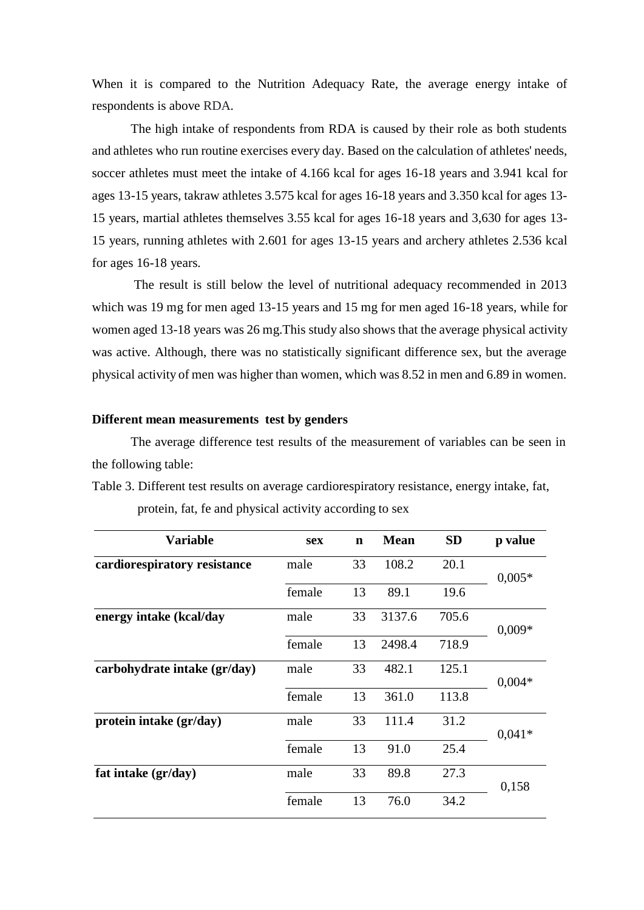When it is compared to the Nutrition Adequacy Rate, the average energy intake of respondents is above RDA.

The high intake of respondents from RDA is caused by their role as both students and athletes who run routine exercises every day. Based on the calculation of athletes' needs, soccer athletes must meet the intake of 4.166 kcal for ages 16-18 years and 3.941 kcal for ages 13-15 years, takraw athletes 3.575 kcal for ages 16-18 years and 3.350 kcal for ages 13- 15 years, martial athletes themselves 3.55 kcal for ages 16-18 years and 3,630 for ages 13- 15 years, running athletes with 2.601 for ages 13-15 years and archery athletes 2.536 kcal for ages 16-18 years.

The result is still below the level of nutritional adequacy recommended in 2013 which was 19 mg for men aged 13-15 years and 15 mg for men aged 16-18 years, while for women aged 13-18 years was 26 mg.This study also shows that the average physical activity was active. Although, there was no statistically significant difference sex, but the average physical activity of men was higher than women, which was 8.52 in men and 6.89 in women.

### **Different mean measurements test by genders**

The average difference test results of the measurement of variables can be seen in the following table:

Table 3. Different test results on average cardiorespiratory resistance, energy intake, fat,

| <b>Variable</b>              | <b>sex</b> | $\mathbf n$ | <b>Mean</b> | <b>SD</b> | p value  |
|------------------------------|------------|-------------|-------------|-----------|----------|
| cardiorespiratory resistance | male       | 33          | 108.2       | 20.1      | $0,005*$ |
|                              | female     | 13          | 89.1        | 19.6      |          |
| energy intake (kcal/day      | male       | 33          | 3137.6      | 705.6     | $0,009*$ |
|                              | female     | 13          | 2498.4      | 718.9     |          |
| carbohydrate intake (gr/day) | male       | 33          | 482.1       | 125.1     | $0,004*$ |
|                              | female     | 13          | 361.0       | 113.8     |          |
| protein intake (gr/day)      | male       | 33          | 111.4       | 31.2      | $0,041*$ |
|                              | female     | 13          | 91.0        | 25.4      |          |
| fat intake (gr/day)          | male       | 33          | 89.8        | 27.3      | 0,158    |
|                              | female     | 13          | 76.0        | 34.2      |          |

protein, fat, fe and physical activity according to sex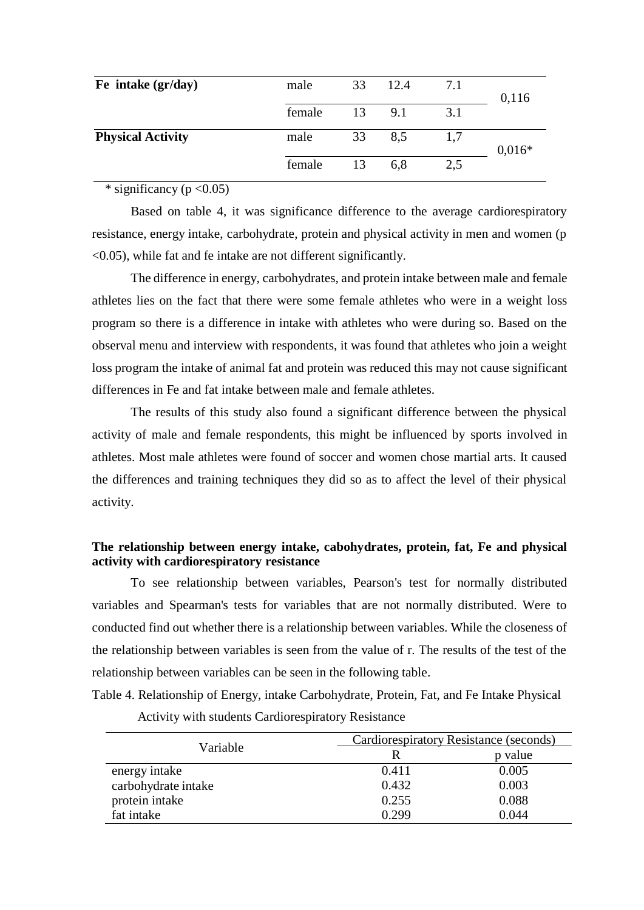| Fe intake (gr/day)       | male   | 33 | 12.4   | 7.1 | 0,116    |
|--------------------------|--------|----|--------|-----|----------|
|                          | female |    | 13 9.1 | 3.1 |          |
| <b>Physical Activity</b> | male   | 33 | 8.5    | 1,7 | $0,016*$ |
|                          | female | 13 | 6.8    | 2,5 |          |

\* significancy ( $p < 0.05$ )

Based on table 4, it was significance difference to the average cardiorespiratory resistance, energy intake, carbohydrate, protein and physical activity in men and women (p <0.05), while fat and fe intake are not different significantly.

The difference in energy, carbohydrates, and protein intake between male and female athletes lies on the fact that there were some female athletes who were in a weight loss program so there is a difference in intake with athletes who were during so. Based on the observal menu and interview with respondents, it was found that athletes who join a weight loss program the intake of animal fat and protein was reduced this may not cause significant differences in Fe and fat intake between male and female athletes.

The results of this study also found a significant difference between the physical activity of male and female respondents, this might be influenced by sports involved in athletes. Most male athletes were found of soccer and women chose martial arts. It caused the differences and training techniques they did so as to affect the level of their physical activity.

# **The relationship between energy intake, cabohydrates, protein, fat, Fe and physical activity with cardiorespiratory resistance**

To see relationship between variables, Pearson's test for normally distributed variables and Spearman's tests for variables that are not normally distributed. Were to conducted find out whether there is a relationship between variables. While the closeness of the relationship between variables is seen from the value of r. The results of the test of the relationship between variables can be seen in the following table.

Table 4. Relationship of Energy, intake Carbohydrate, Protein, Fat, and Fe Intake Physical

|                     | Cardiorespiratory Resistance (seconds) |         |  |  |
|---------------------|----------------------------------------|---------|--|--|
| Variable            | R                                      | p value |  |  |
| energy intake       | 0.411                                  | 0.005   |  |  |
| carbohydrate intake | 0.432                                  | 0.003   |  |  |
| protein intake      | 0.255                                  | 0.088   |  |  |
| fat intake          | 0.299                                  | 0.044   |  |  |

Activity with students Cardiorespiratory Resistance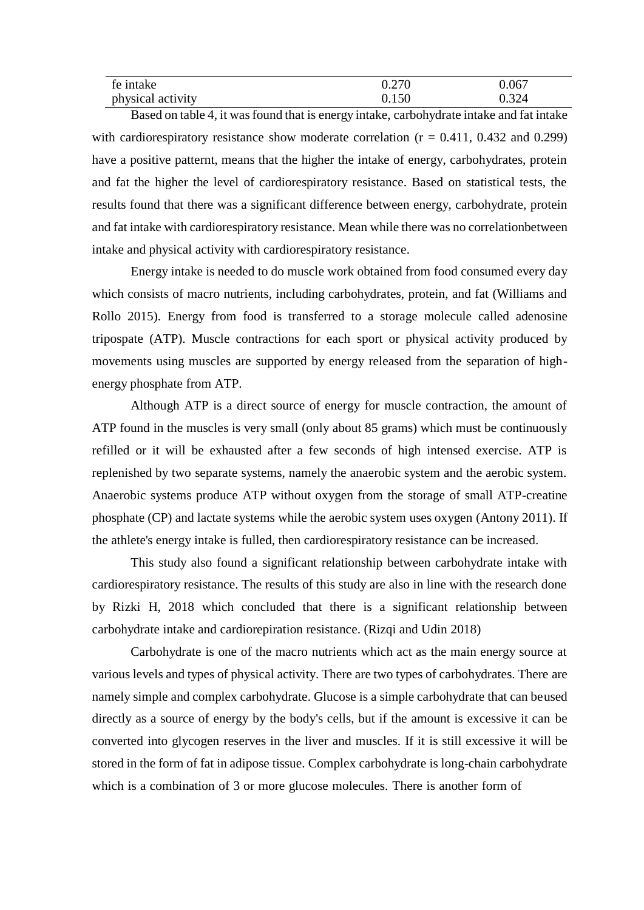| fe intake         | 0.270 | 0.067 |
|-------------------|-------|-------|
| physical activity | 0.150 | 0.324 |

Based on table 4, it was found that is energy intake, carbohydrate intake and fat intake with cardiorespiratory resistance show moderate correlation  $(r = 0.411, 0.432,$  and 0.299) have a positive patternt, means that the higher the intake of energy, carbohydrates, protein and fat the higher the level of cardiorespiratory resistance. Based on statistical tests, the results found that there was a significant difference between energy, carbohydrate, protein and fat intake with cardiorespiratory resistance. Mean while there was no correlationbetween intake and physical activity with cardiorespiratory resistance.

Energy intake is needed to do muscle work obtained from food consumed every day which consists of macro nutrients, including carbohydrates, protein, and fat (Williams and Rollo 2015). Energy from food is transferred to a storage molecule called adenosine tripospate (ATP). Muscle contractions for each sport or physical activity produced by movements using muscles are supported by energy released from the separation of highenergy phosphate from ATP.

Although ATP is a direct source of energy for muscle contraction, the amount of ATP found in the muscles is very small (only about 85 grams) which must be continuously refilled or it will be exhausted after a few seconds of high intensed exercise. ATP is replenished by two separate systems, namely the anaerobic system and the aerobic system. Anaerobic systems produce ATP without oxygen from the storage of small ATP-creatine phosphate (CP) and lactate systems while the aerobic system uses oxygen (Antony 2011). If the athlete's energy intake is fulled, then cardiorespiratory resistance can be increased.

This study also found a significant relationship between carbohydrate intake with cardiorespiratory resistance. The results of this study are also in line with the research done by Rizki H, 2018 which concluded that there is a significant relationship between carbohydrate intake and cardiorepiration resistance. (Rizqi and Udin 2018)

Carbohydrate is one of the macro nutrients which act as the main energy source at various levels and types of physical activity. There are two types of carbohydrates. There are namely simple and complex carbohydrate. Glucose is a simple carbohydrate that can beused directly as a source of energy by the body's cells, but if the amount is excessive it can be converted into glycogen reserves in the liver and muscles. If it is still excessive it will be stored in the form of fat in adipose tissue. Complex carbohydrate is long-chain carbohydrate which is a combination of 3 or more glucose molecules. There is another form of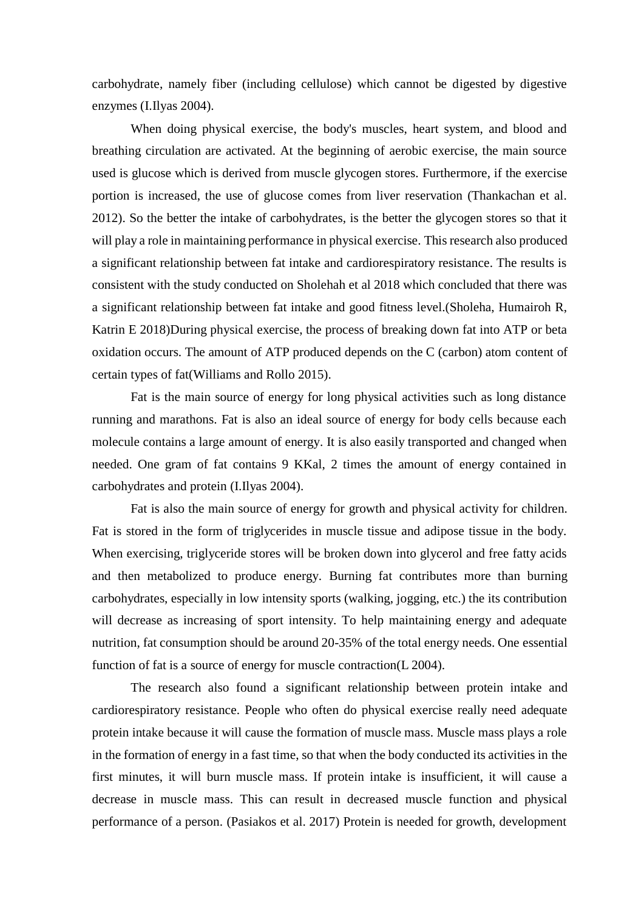carbohydrate, namely fiber (including cellulose) which cannot be digested by digestive enzymes (I.Ilyas 2004).

When doing physical exercise, the body's muscles, heart system, and blood and breathing circulation are activated. At the beginning of aerobic exercise, the main source used is glucose which is derived from muscle glycogen stores. Furthermore, if the exercise portion is increased, the use of glucose comes from liver reservation (Thankachan et al. 2012). So the better the intake of carbohydrates, is the better the glycogen stores so that it will play a role in maintaining performance in physical exercise. This research also produced a significant relationship between fat intake and cardiorespiratory resistance. The results is consistent with the study conducted on Sholehah et al 2018 which concluded that there was a significant relationship between fat intake and good fitness level.(Sholeha, Humairoh R, Katrin E 2018)During physical exercise, the process of breaking down fat into ATP or beta oxidation occurs. The amount of ATP produced depends on the C (carbon) atom content of certain types of fat(Williams and Rollo 2015).

Fat is the main source of energy for long physical activities such as long distance running and marathons. Fat is also an ideal source of energy for body cells because each molecule contains a large amount of energy. It is also easily transported and changed when needed. One gram of fat contains 9 KKal, 2 times the amount of energy contained in carbohydrates and protein (I.Ilyas 2004).

Fat is also the main source of energy for growth and physical activity for children. Fat is stored in the form of triglycerides in muscle tissue and adipose tissue in the body. When exercising, triglyceride stores will be broken down into glycerol and free fatty acids and then metabolized to produce energy. Burning fat contributes more than burning carbohydrates, especially in low intensity sports (walking, jogging, etc.) the its contribution will decrease as increasing of sport intensity. To help maintaining energy and adequate nutrition, fat consumption should be around 20-35% of the total energy needs. One essential function of fat is a source of energy for muscle contraction(L 2004).

The research also found a significant relationship between protein intake and cardiorespiratory resistance. People who often do physical exercise really need adequate protein intake because it will cause the formation of muscle mass. Muscle mass plays a role in the formation of energy in a fast time, so that when the body conducted its activities in the first minutes, it will burn muscle mass. If protein intake is insufficient, it will cause a decrease in muscle mass. This can result in decreased muscle function and physical performance of a person. (Pasiakos et al. 2017) Protein is needed for growth, development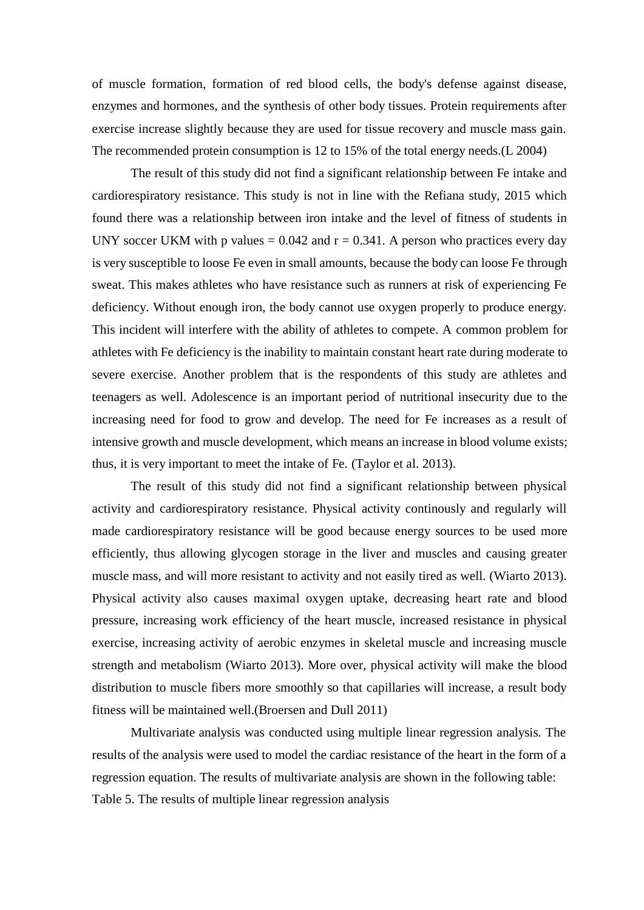of muscle formation, formation of red blood cells, the body's defense against disease, enzymes and hormones, and the synthesis of other body tissues. Protein requirements after exercise increase slightly because they are used for tissue recovery and muscle mass gain. The recommended protein consumption is 12 to 15% of the total energy needs.(L 2004)

The result of this study did not find a significant relationship between Fe intake and cardiorespiratory resistance. This study is not in line with the Refiana study, 2015 which found there was a relationship between iron intake and the level of fitness of students in UNY soccer UKM with p values  $= 0.042$  and  $r = 0.341$ . A person who practices every day is very susceptible to loose Fe even in small amounts, because the body can loose Fe through sweat. This makes athletes who have resistance such as runners at risk of experiencing Fe deficiency. Without enough iron, the body cannot use oxygen properly to produce energy. This incident will interfere with the ability of athletes to compete. A common problem for athletes with Fe deficiency is the inability to maintain constant heart rate during moderate to severe exercise. Another problem that is the respondents of this study are athletes and teenagers as well. Adolescence is an important period of nutritional insecurity due to the increasing need for food to grow and develop. The need for Fe increases as a result of intensive growth and muscle development, which means an increase in blood volume exists; thus, it is very important to meet the intake of Fe. (Taylor et al. 2013).

The result of this study did not find a significant relationship between physical activity and cardiorespiratory resistance. Physical activity continously and regularly will made cardiorespiratory resistance will be good because energy sources to be used more efficiently, thus allowing glycogen storage in the liver and muscles and causing greater muscle mass, and will more resistant to activity and not easily tired as well. (Wiarto 2013). Physical activity also causes maximal oxygen uptake, decreasing heart rate and blood pressure, increasing work efficiency of the heart muscle, increased resistance in physical exercise, increasing activity of aerobic enzymes in skeletal muscle and increasing muscle strength and metabolism (Wiarto 2013). More over, physical activity will make the blood distribution to muscle fibers more smoothly so that capillaries will increase, a result body fitness will be maintained well.(Broersen and Dull 2011)

Multivariate analysis was conducted using multiple linear regression analysis. The results of the analysis were used to model the cardiac resistance of the heart in the form of a regression equation. The results of multivariate analysis are shown in the following table: Table 5. The results of multiple linear regression analysis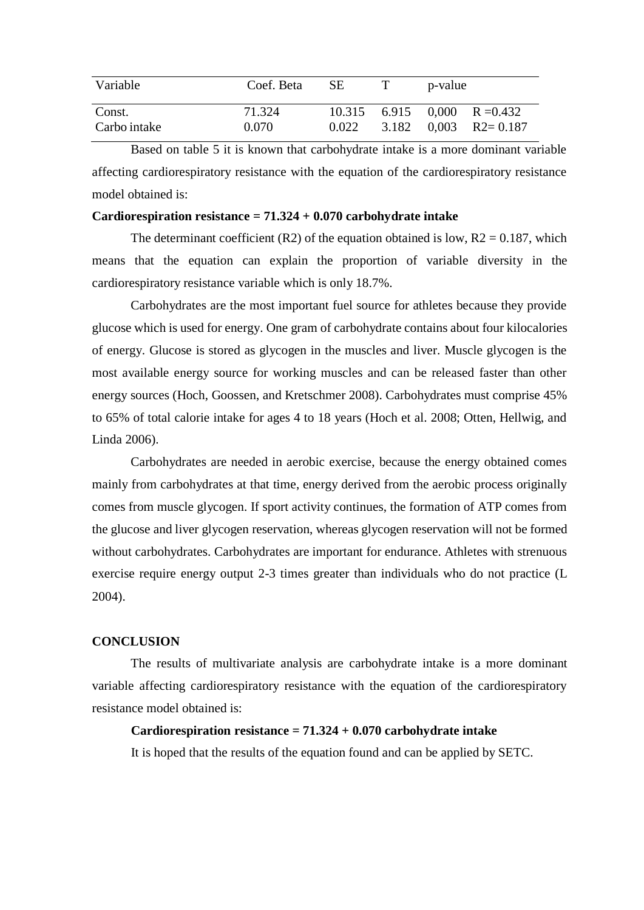| Variable               | Coef. Beta      | -SE | p-value                                                         |
|------------------------|-----------------|-----|-----------------------------------------------------------------|
| Const.<br>Carbo intake | 71.324<br>0.070 |     | $10.315$ 6.915 0.000 R = 0.432<br>$0.022$ 3.182 0,003 R2= 0.187 |

Based on table 5 it is known that carbohydrate intake is a more dominant variable affecting cardiorespiratory resistance with the equation of the cardiorespiratory resistance model obtained is:

### **Cardiorespiration resistance = 71.324 + 0.070 carbohydrate intake**

The determinant coefficient (R2) of the equation obtained is low,  $R2 = 0.187$ , which means that the equation can explain the proportion of variable diversity in the cardiorespiratory resistance variable which is only 18.7%.

Carbohydrates are the most important fuel source for athletes because they provide glucose which is used for energy. One gram of carbohydrate contains about four kilocalories of energy. Glucose is stored as glycogen in the muscles and liver. Muscle glycogen is the most available energy source for working muscles and can be released faster than other energy sources (Hoch, Goossen, and Kretschmer 2008). Carbohydrates must comprise 45% to 65% of total calorie intake for ages 4 to 18 years (Hoch et al. 2008; Otten, Hellwig, and Linda 2006).

Carbohydrates are needed in aerobic exercise, because the energy obtained comes mainly from carbohydrates at that time, energy derived from the aerobic process originally comes from muscle glycogen. If sport activity continues, the formation of ATP comes from the glucose and liver glycogen reservation, whereas glycogen reservation will not be formed without carbohydrates. Carbohydrates are important for endurance. Athletes with strenuous exercise require energy output 2-3 times greater than individuals who do not practice (L 2004).

## **CONCLUSION**

The results of multivariate analysis are carbohydrate intake is a more dominant variable affecting cardiorespiratory resistance with the equation of the cardiorespiratory resistance model obtained is:

### **Cardiorespiration resistance = 71.324 + 0.070 carbohydrate intake**

It is hoped that the results of the equation found and can be applied by SETC.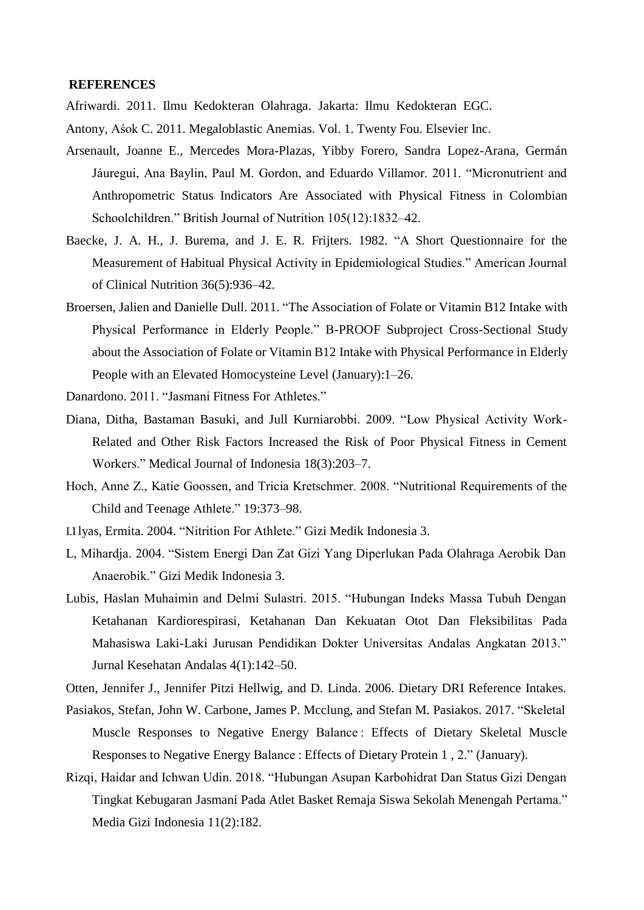### **REFERENCES**

Afriwardi. 2011. Ilmu Kedokteran Olahraga. Jakarta: Ilmu Kedokteran EGC.

- Antony, Aśok C. 2011. Megaloblastic Anemias. Vol. 1. Twenty Fou. Elsevier Inc.
- Arsenault, Joanne E., Mercedes Mora-Plazas, Yibby Forero, Sandra Lopez-Arana, Germán Jáuregui, Ana Baylin, Paul M. Gordon, and Eduardo Villamor. 2011. "Micronutrient and Anthropometric Status Indicators Are Associated with Physical Fitness in Colombian Schoolchildren." British Journal of Nutrition 105(12):1832–42.
- Baecke, J. A. H., J. Burema, and J. E. R. Frijters. 1982. "A Short Questionnaire for the Measurement of Habitual Physical Activity in Epidemiological Studies." American Journal of Clinical Nutrition 36(5):936–42.
- Broersen, Jalien and Danielle Dull. 2011. "The Association of Folate or Vitamin B12 Intake with Physical Performance in Elderly People." B-PROOF Subproject Cross-Sectional Study about the Association of Folate or Vitamin B12 Intake with Physical Performance in Elderly People with an Elevated Homocysteine Level (January):1–26.
- Danardono. 2011. "Jasmani Fitness For Athletes."
- Diana, Ditha, Bastaman Basuki, and Jull Kurniarobbi. 2009. "Low Physical Activity Work-Related and Other Risk Factors Increased the Risk of Poor Physical Fitness in Cement Workers." Medical Journal of Indonesia 18(3):203–7.
- Hoch, Anne Z., Katie Goossen, and Tricia Kretschmer. 2008. "Nutritional Requirements of the Child and Teenage Athlete." 19:373–98.
- I.Ilyas, Ermita. 2004. "Nitrition For Athlete." Gizi Medik Indonesia 3.
- L, Mihardja. 2004. "Sistem Energi Dan Zat Gizi Yang Diperlukan Pada Olahraga Aerobik Dan Anaerobik." Gizi Medik Indonesia 3.
- Lubis, Haslan Muhaimin and Delmi Sulastri. 2015. "Hubungan Indeks Massa Tubuh Dengan Ketahanan Kardiorespirasi, Ketahanan Dan Kekuatan Otot Dan Fleksibilitas Pada Mahasiswa Laki-Laki Jurusan Pendidikan Dokter Universitas Andalas Angkatan 2013." Jurnal Kesehatan Andalas 4(1):142–50.

Otten, Jennifer J., Jennifer Pitzi Hellwig, and D. Linda. 2006. Dietary DRI Reference Intakes.

- Pasiakos, Stefan, John W. Carbone, James P. Mcclung, and Stefan M. Pasiakos. 2017. "Skeletal Muscle Responses to Negative Energy Balance : Effects of Dietary Skeletal Muscle Responses to Negative Energy Balance : Effects of Dietary Protein 1 , 2." (January).
- Rizqi, Haidar and Ichwan Udin. 2018. "Hubungan Asupan Karbohidrat Dan Status Gizi Dengan Tingkat Kebugaran Jasmani Pada Atlet Basket Remaja Siswa Sekolah Menengah Pertama." Media Gizi Indonesia 11(2):182.